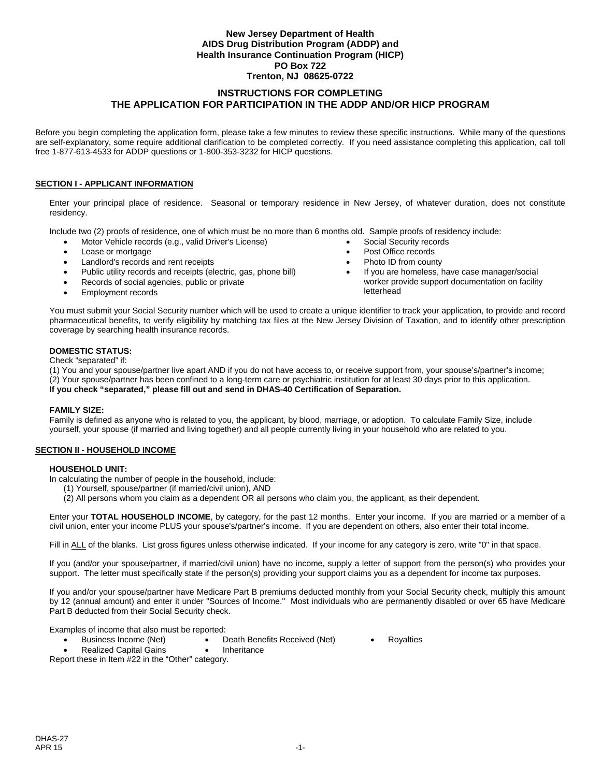### **New Jersey Department of Health AIDS Drug Distribution Program (ADDP) and Health Insurance Continuation Program (HICP) PO Box 722 Trenton, NJ 08625-0722**

### **INSTRUCTIONS FOR COMPLETING THE APPLICATION FOR PARTICIPATION IN THE ADDP AND/OR HICP PROGRAM**

Before you begin completing the application form, please take a few minutes to review these specific instructions. While many of the questions are self-explanatory, some require additional clarification to be completed correctly. If you need assistance completing this application, call toll free 1-877-613-4533 for ADDP questions or 1-800-353-3232 for HICP questions.

#### **SECTION I - APPLICANT INFORMATION**

Enter your principal place of residence. Seasonal or temporary residence in New Jersey, of whatever duration, does not constitute residency.

Include two (2) proofs of residence, one of which must be no more than 6 months old. Sample proofs of residency include:

- Motor Vehicle records (e.g., valid Driver's License)
- Lease or mortgage
- Landlord's records and rent receipts
- Public utility records and receipts (electric, gas, phone bill)
- Records of social agencies, public or private
- Employment records
- Social Security records Post Office records
- Photo ID from county
- If you are homeless, have case manager/social worker provide support documentation on facility letterhead

You must submit your Social Security number which will be used to create a unique identifier to track your application, to provide and record pharmaceutical benefits, to verify eligibility by matching tax files at the New Jersey Division of Taxation, and to identify other prescription coverage by searching health insurance records.

### **DOMESTIC STATUS:**

Check "separated" if:

(1) You and your spouse/partner live apart AND if you do not have access to, or receive support from, your spouse's/partner's income; (2) Your spouse/partner has been confined to a long-term care or psychiatric institution for at least 30 days prior to this application. **If you check "separated," please fill out and send in DHAS-40 Certification of Separation.**

#### **FAMILY SIZE:**

Family is defined as anyone who is related to you, the applicant, by blood, marriage, or adoption. To calculate Family Size, include yourself, your spouse (if married and living together) and all people currently living in your household who are related to you.

#### **SECTION II - HOUSEHOLD INCOME**

#### **HOUSEHOLD UNIT:**

In calculating the number of people in the household, include:

(1) Yourself, spouse/partner (if married/civil union), AND

(2) All persons whom you claim as a dependent OR all persons who claim you, the applicant, as their dependent.

Enter your **TOTAL HOUSEHOLD INCOME**, by category, for the past 12 months. Enter your income. If you are married or a member of a civil union, enter your income PLUS your spouse's/partner's income. If you are dependent on others, also enter their total income.

Fill in ALL of the blanks. List gross figures unless otherwise indicated. If your income for any category is zero, write "0" in that space.

If you (and/or your spouse/partner, if married/civil union) have no income, supply a letter of support from the person(s) who provides your support. The letter must specifically state if the person(s) providing your support claims you as a dependent for income tax purposes.

If you and/or your spouse/partner have Medicare Part B premiums deducted monthly from your Social Security check, multiply this amount by 12 (annual amount) and enter it under "Sources of Income." Most individuals who are permanently disabled or over 65 have Medicare Part B deducted from their Social Security check.

Examples of income that also must be reported:

- Business Income (Net) • Death Benefits Received (Net)
	- Inheritance
- Royalties

Realized Capital Gains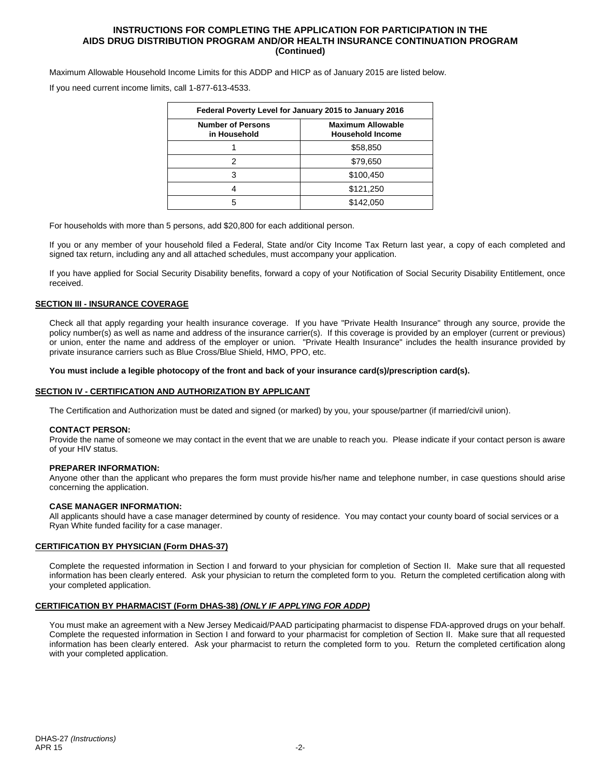### **INSTRUCTIONS FOR COMPLETING THE APPLICATION FOR PARTICIPATION IN THE AIDS DRUG DISTRIBUTION PROGRAM AND/OR HEALTH INSURANCE CONTINUATION PROGRAM (Continued)**

Maximum Allowable Household Income Limits for this ADDP and HICP as of January 2015 are listed below.

If you need current income limits, call 1-877-613-4533.

| Federal Poverty Level for January 2015 to January 2016 |                                                     |
|--------------------------------------------------------|-----------------------------------------------------|
| <b>Number of Persons</b><br>in Household               | <b>Maximum Allowable</b><br><b>Household Income</b> |
|                                                        | \$58,850                                            |
|                                                        | \$79,650                                            |
| 3                                                      | \$100,450                                           |
|                                                        | \$121,250                                           |
| 5                                                      | \$142.050                                           |

For households with more than 5 persons, add \$20,800 for each additional person.

If you or any member of your household filed a Federal, State and/or City Income Tax Return last year, a copy of each completed and signed tax return, including any and all attached schedules, must accompany your application.

If you have applied for Social Security Disability benefits, forward a copy of your Notification of Social Security Disability Entitlement, once received.

#### **SECTION III - INSURANCE COVERAGE**

Check all that apply regarding your health insurance coverage. If you have "Private Health Insurance" through any source, provide the policy number(s) as well as name and address of the insurance carrier(s). If this coverage is provided by an employer (current or previous) or union, enter the name and address of the employer or union. "Private Health Insurance" includes the health insurance provided by private insurance carriers such as Blue Cross/Blue Shield, HMO, PPO, etc.

**You must include a legible photocopy of the front and back of your insurance card(s)/prescription card(s).**

#### **SECTION IV - CERTIFICATION AND AUTHORIZATION BY APPLICANT**

The Certification and Authorization must be dated and signed (or marked) by you, your spouse/partner (if married/civil union).

#### **CONTACT PERSON:**

Provide the name of someone we may contact in the event that we are unable to reach you. Please indicate if your contact person is aware of your HIV status.

#### **PREPARER INFORMATION:**

Anyone other than the applicant who prepares the form must provide his/her name and telephone number, in case questions should arise concerning the application.

#### **CASE MANAGER INFORMATION:**

All applicants should have a case manager determined by county of residence. You may contact your county board of social services or a Ryan White funded facility for a case manager.

#### **CERTIFICATION BY PHYSICIAN (Form DHAS-37)**

Complete the requested information in Section I and forward to your physician for completion of Section II. Make sure that all requested information has been clearly entered. Ask your physician to return the completed form to you. Return the completed certification along with your completed application.

#### **CERTIFICATION BY PHARMACIST (Form DHAS-38)** *(ONLY IF APPLYING FOR ADDP)*

You must make an agreement with a New Jersey Medicaid/PAAD participating pharmacist to dispense FDA-approved drugs on your behalf. Complete the requested information in Section I and forward to your pharmacist for completion of Section II. Make sure that all requested information has been clearly entered. Ask your pharmacist to return the completed form to you. Return the completed certification along with your completed application.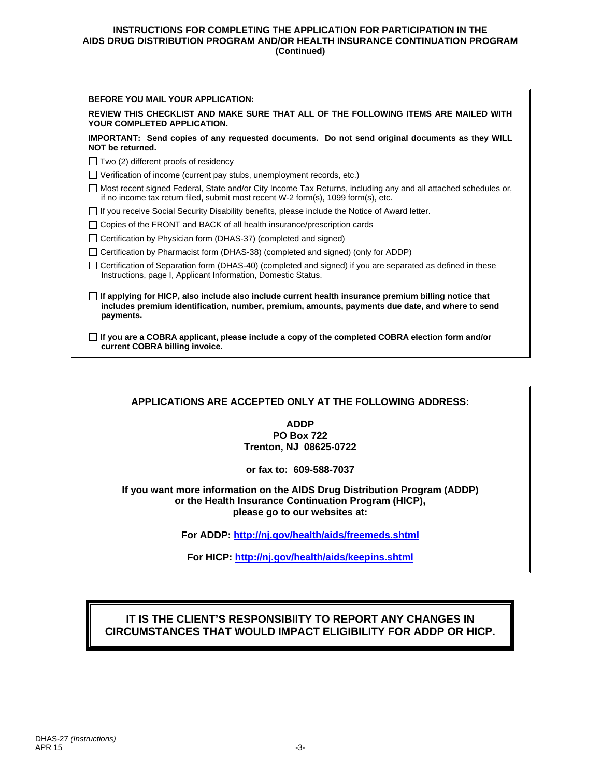### **INSTRUCTIONS FOR COMPLETING THE APPLICATION FOR PARTICIPATION IN THE AIDS DRUG DISTRIBUTION PROGRAM AND/OR HEALTH INSURANCE CONTINUATION PROGRAM (Continued)**

| <b>BEFORE YOU MAIL YOUR APPLICATION:</b>                                                                                                                                                                                                  |  |
|-------------------------------------------------------------------------------------------------------------------------------------------------------------------------------------------------------------------------------------------|--|
| REVIEW THIS CHECKLIST AND MAKE SURE THAT ALL OF THE FOLLOWING ITEMS ARE MAILED WITH<br>YOUR COMPLETED APPLICATION.                                                                                                                        |  |
| IMPORTANT: Send copies of any requested documents. Do not send original documents as they WILL<br>NOT be returned.                                                                                                                        |  |
| $\Box$ Two (2) different proofs of residency                                                                                                                                                                                              |  |
| $\Box$ Verification of income (current pay stubs, unemployment records, etc.)                                                                                                                                                             |  |
| ∟ Most recent signed Federal, State and/or City Income Tax Returns, including any and all attached schedules or,<br>if no income tax return filed, submit most recent W-2 form(s), 1099 form(s), etc.                                     |  |
| $\Box$ If you receive Social Security Disability benefits, please include the Notice of Award letter.                                                                                                                                     |  |
| Copies of the FRONT and BACK of all health insurance/prescription cards                                                                                                                                                                   |  |
| Certification by Physician form (DHAS-37) (completed and signed)                                                                                                                                                                          |  |
| □ Certification by Pharmacist form (DHAS-38) (completed and signed) (only for ADDP)                                                                                                                                                       |  |
| Certification of Separation form (DHAS-40) (completed and signed) if you are separated as defined in these<br>Instructions, page I, Applicant Information, Domestic Status.                                                               |  |
| $\hfill\blacksquare$ If applying for HICP, also include also include current health insurance premium billing notice that<br>includes premium identification, number, premium, amounts, payments due date, and where to send<br>payments. |  |
| $\Box$ If you are a COBRA applicant, please include a copy of the completed COBRA election form and/or<br>current COBRA billing invoice.                                                                                                  |  |

# **APPLICATIONS ARE ACCEPTED ONLY AT THE FOLLOWING ADDRESS:**

# **ADDP PO Box 722 Trenton, NJ 08625-0722**

# **or fax to: 609-588-7037**

### **If you want more information on the AIDS Drug Distribution Program (ADDP) or the Health Insurance Continuation Program (HICP), please go to our websites at:**

## **For ADDP: http://nj.gov/health/aids/freemeds.shtml**

**For HICP: http://nj.gov/health/aids/keepins.shtml**

# **IT IS THE CLIENT'S RESPONSIBIITY TO REPORT ANY CHANGES IN CIRCUMSTANCES THAT WOULD IMPACT ELIGIBILITY FOR ADDP OR HICP.**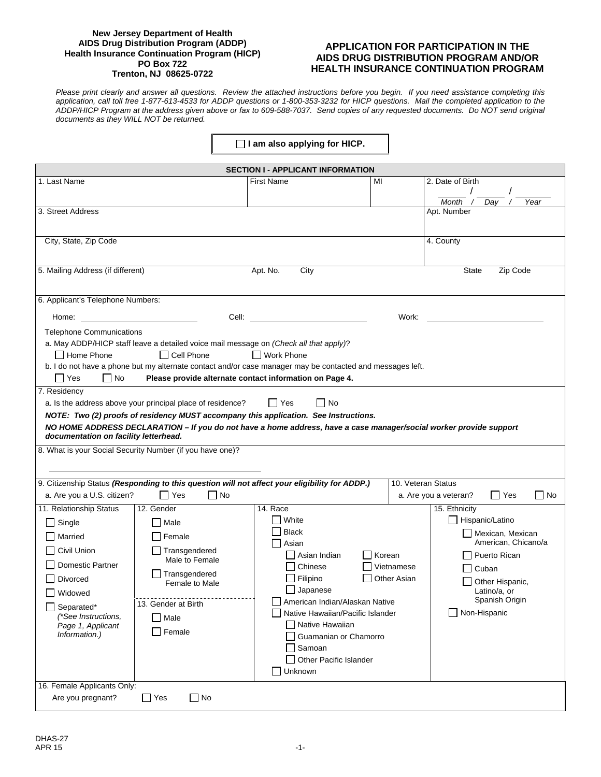#### **New Jersey Department of Health AIDS Drug Distribution Program (ADDP) Health Insurance Continuation Program (HICP) PO Box 722 Trenton, NJ 08625-0722**

### **APPLICATION FOR PARTICIPATION IN THE AIDS DRUG DISTRIBUTION PROGRAM AND/OR HEALTH INSURANCE CONTINUATION PROGRAM**

*Please print clearly and answer all questions. Review the attached instructions before you begin. If you need assistance completing this application, call toll free 1-877-613-4533 for ADDP questions or 1-800-353-3232 for HICP questions. Mail the completed application to the ADDP/HICP Program at the address given above or fax to 609-588-7037. Send copies of any requested documents. Do NOT send original documents as they WILL NOT be returned.*

|                                                                                                                                                                                                                                                                                                                                                                                                                                                                                                                                                                    | $\Box$ I am also applying for HICP.                                                                                                                                                                                                                                          |                                                                                                                                                                                                                    |  |
|--------------------------------------------------------------------------------------------------------------------------------------------------------------------------------------------------------------------------------------------------------------------------------------------------------------------------------------------------------------------------------------------------------------------------------------------------------------------------------------------------------------------------------------------------------------------|------------------------------------------------------------------------------------------------------------------------------------------------------------------------------------------------------------------------------------------------------------------------------|--------------------------------------------------------------------------------------------------------------------------------------------------------------------------------------------------------------------|--|
|                                                                                                                                                                                                                                                                                                                                                                                                                                                                                                                                                                    | <b>SECTION I - APPLICANT INFORMATION</b>                                                                                                                                                                                                                                     |                                                                                                                                                                                                                    |  |
| 1. Last Name                                                                                                                                                                                                                                                                                                                                                                                                                                                                                                                                                       | <b>First Name</b>                                                                                                                                                                                                                                                            | 2. Date of Birth<br>MI<br>Month<br>Day<br>Year                                                                                                                                                                     |  |
| 3. Street Address                                                                                                                                                                                                                                                                                                                                                                                                                                                                                                                                                  |                                                                                                                                                                                                                                                                              | Apt. Number                                                                                                                                                                                                        |  |
| City, State, Zip Code                                                                                                                                                                                                                                                                                                                                                                                                                                                                                                                                              |                                                                                                                                                                                                                                                                              | 4. County                                                                                                                                                                                                          |  |
| 5. Mailing Address (if different)                                                                                                                                                                                                                                                                                                                                                                                                                                                                                                                                  | Apt. No.<br>City                                                                                                                                                                                                                                                             | <b>State</b><br>Zip Code                                                                                                                                                                                           |  |
| 6. Applicant's Telephone Numbers:<br>Home: the contract of the contract of the contract of the contract of the contract of the contract of the contract of the contract of the contract of the contract of the contract of the contract of the contract of the cont<br><b>Telephone Communications</b><br>a. May ADDP/HICP staff leave a detailed voice mail message on (Check all that apply)?<br>Home Phone<br>$\Box$ Cell Phone<br>b. I do not have a phone but my alternate contact and/or case manager may be contacted and messages left.<br>    Yes<br>  No | Cell:<br>□ Work Phone<br>Please provide alternate contact information on Page 4.                                                                                                                                                                                             | Work:                                                                                                                                                                                                              |  |
| 7. Residency<br>Г I Yes<br>a. Is the address above your principal place of residence?<br>l No<br>NOTE: Two (2) proofs of residency MUST accompany this application. See Instructions.<br>NO HOME ADDRESS DECLARATION - If you do not have a home address, have a case manager/social worker provide support<br>documentation on facility letterhead.<br>8. What is your Social Security Number (if you have one)?                                                                                                                                                  |                                                                                                                                                                                                                                                                              |                                                                                                                                                                                                                    |  |
| 9. Citizenship Status (Responding to this question will not affect your eligibility for ADDP.)<br>a. Are you a U.S. citizen?<br>∣∣Yes                                                                                                                                                                                                                                                                                                                                                                                                                              | $\Box$ No                                                                                                                                                                                                                                                                    | 10. Veteran Status<br>$\Box$ No<br>$\Box$ Yes<br>a. Are you a veteran?                                                                                                                                             |  |
| 11. Relationship Status<br>12. Gender<br>Single<br>  Male<br>Married<br>Female<br>Civil Union<br>$\Box$ Transgendered<br>Male to Female<br><b>Domestic Partner</b><br>$\Box$ Transgendered<br>Divorced<br>Female to Male<br>Widowed<br>13. Gender at Birth<br>Separated*<br>(*See Instructions,<br>  Male<br>Page 1, Applicant<br>$\sqcap$ Female<br>Information.)                                                                                                                                                                                                 | 14. Race<br><b>White</b><br><b>Black</b><br>Asian<br>Asian Indian<br>Chinese<br>$\Box$ Filipino<br>Japanese<br>American Indian/Alaskan Native<br>Native Hawaiian/Pacific Islander<br>Native Hawaiian<br>Guamanian or Chamorro<br>Samoan<br>Other Pacific Islander<br>Unknown | 15. Ethnicity<br>Hispanic/Latino<br>Mexican, Mexican<br>American, Chicano/a<br>l Korean<br>Puerto Rican<br>Vietnamese<br>Cuban<br>Other Asian<br>Other Hispanic,<br>Latino/a, or<br>Spanish Origin<br>Non-Hispanic |  |
| 16. Female Applicants Only:<br>$\Box$ Yes<br>$\Box$ No<br>Are you pregnant?                                                                                                                                                                                                                                                                                                                                                                                                                                                                                        |                                                                                                                                                                                                                                                                              |                                                                                                                                                                                                                    |  |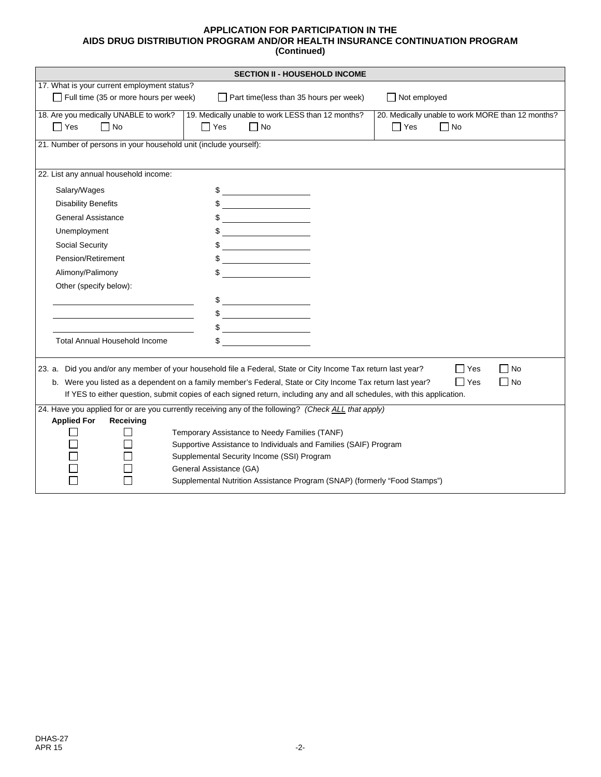| 17. What is your current employment status?<br>$\Box$ Full time (35 or more hours per week)<br>$\Box$ Part time(less than 35 hours per week)<br>$\Box$ Not employed<br>18. Are you medically UNABLE to work?   19. Medically unable to work LESS than 12 months?<br>20. Medically unable to work MORE than 12 months?<br>$\Box$ Yes<br>$\Box$ Yes<br>$\Box$ No<br>$\Box$ Yes<br>$\Box$ No<br>$\Box$ No<br>21. Number of persons in your household unit (include yourself):<br>22. List any annual household income:<br>Salary/Wages<br>$\frac{1}{2}$<br>$\frac{1}{2}$<br><b>Disability Benefits</b><br><b>General Assistance</b><br>$\frac{1}{2}$<br>Unemployment<br>Social Security<br>Pension/Retirement<br><u> 1989 - Johann Barbara, martxa a</u><br>Alimony/Palimony<br>Other (specify below): |  |  |  |
|-----------------------------------------------------------------------------------------------------------------------------------------------------------------------------------------------------------------------------------------------------------------------------------------------------------------------------------------------------------------------------------------------------------------------------------------------------------------------------------------------------------------------------------------------------------------------------------------------------------------------------------------------------------------------------------------------------------------------------------------------------------------------------------------------------|--|--|--|
|                                                                                                                                                                                                                                                                                                                                                                                                                                                                                                                                                                                                                                                                                                                                                                                                     |  |  |  |
|                                                                                                                                                                                                                                                                                                                                                                                                                                                                                                                                                                                                                                                                                                                                                                                                     |  |  |  |
|                                                                                                                                                                                                                                                                                                                                                                                                                                                                                                                                                                                                                                                                                                                                                                                                     |  |  |  |
|                                                                                                                                                                                                                                                                                                                                                                                                                                                                                                                                                                                                                                                                                                                                                                                                     |  |  |  |
|                                                                                                                                                                                                                                                                                                                                                                                                                                                                                                                                                                                                                                                                                                                                                                                                     |  |  |  |
|                                                                                                                                                                                                                                                                                                                                                                                                                                                                                                                                                                                                                                                                                                                                                                                                     |  |  |  |
|                                                                                                                                                                                                                                                                                                                                                                                                                                                                                                                                                                                                                                                                                                                                                                                                     |  |  |  |
|                                                                                                                                                                                                                                                                                                                                                                                                                                                                                                                                                                                                                                                                                                                                                                                                     |  |  |  |
|                                                                                                                                                                                                                                                                                                                                                                                                                                                                                                                                                                                                                                                                                                                                                                                                     |  |  |  |
|                                                                                                                                                                                                                                                                                                                                                                                                                                                                                                                                                                                                                                                                                                                                                                                                     |  |  |  |
|                                                                                                                                                                                                                                                                                                                                                                                                                                                                                                                                                                                                                                                                                                                                                                                                     |  |  |  |
|                                                                                                                                                                                                                                                                                                                                                                                                                                                                                                                                                                                                                                                                                                                                                                                                     |  |  |  |
|                                                                                                                                                                                                                                                                                                                                                                                                                                                                                                                                                                                                                                                                                                                                                                                                     |  |  |  |
|                                                                                                                                                                                                                                                                                                                                                                                                                                                                                                                                                                                                                                                                                                                                                                                                     |  |  |  |
|                                                                                                                                                                                                                                                                                                                                                                                                                                                                                                                                                                                                                                                                                                                                                                                                     |  |  |  |
| $\begin{array}{c}\n\circ \\ \bullet \\ \hline\n\end{array}$                                                                                                                                                                                                                                                                                                                                                                                                                                                                                                                                                                                                                                                                                                                                         |  |  |  |
| $\frac{1}{2}$                                                                                                                                                                                                                                                                                                                                                                                                                                                                                                                                                                                                                                                                                                                                                                                       |  |  |  |
| $\frac{1}{2}$                                                                                                                                                                                                                                                                                                                                                                                                                                                                                                                                                                                                                                                                                                                                                                                       |  |  |  |
| <b>Total Annual Household Income</b>                                                                                                                                                                                                                                                                                                                                                                                                                                                                                                                                                                                                                                                                                                                                                                |  |  |  |
|                                                                                                                                                                                                                                                                                                                                                                                                                                                                                                                                                                                                                                                                                                                                                                                                     |  |  |  |
| 23. a. Did you and/or any member of your household file a Federal, State or City Income Tax return last year?<br>$\Box$ Yes<br>No.                                                                                                                                                                                                                                                                                                                                                                                                                                                                                                                                                                                                                                                                  |  |  |  |
| b. Were you listed as a dependent on a family member's Federal, State or City Income Tax return last year?<br>  Yes<br>l No                                                                                                                                                                                                                                                                                                                                                                                                                                                                                                                                                                                                                                                                         |  |  |  |
| If YES to either question, submit copies of each signed return, including any and all schedules, with this application.                                                                                                                                                                                                                                                                                                                                                                                                                                                                                                                                                                                                                                                                             |  |  |  |
| 24. Have you applied for or are you currently receiving any of the following? (Check ALL that apply)                                                                                                                                                                                                                                                                                                                                                                                                                                                                                                                                                                                                                                                                                                |  |  |  |
| <b>Applied For</b><br>Receiving                                                                                                                                                                                                                                                                                                                                                                                                                                                                                                                                                                                                                                                                                                                                                                     |  |  |  |
| Temporary Assistance to Needy Families (TANF)<br>Supportive Assistance to Individuals and Families (SAIF) Program                                                                                                                                                                                                                                                                                                                                                                                                                                                                                                                                                                                                                                                                                   |  |  |  |
| Supplemental Security Income (SSI) Program                                                                                                                                                                                                                                                                                                                                                                                                                                                                                                                                                                                                                                                                                                                                                          |  |  |  |
| General Assistance (GA)                                                                                                                                                                                                                                                                                                                                                                                                                                                                                                                                                                                                                                                                                                                                                                             |  |  |  |
| Supplemental Nutrition Assistance Program (SNAP) (formerly "Food Stamps")                                                                                                                                                                                                                                                                                                                                                                                                                                                                                                                                                                                                                                                                                                                           |  |  |  |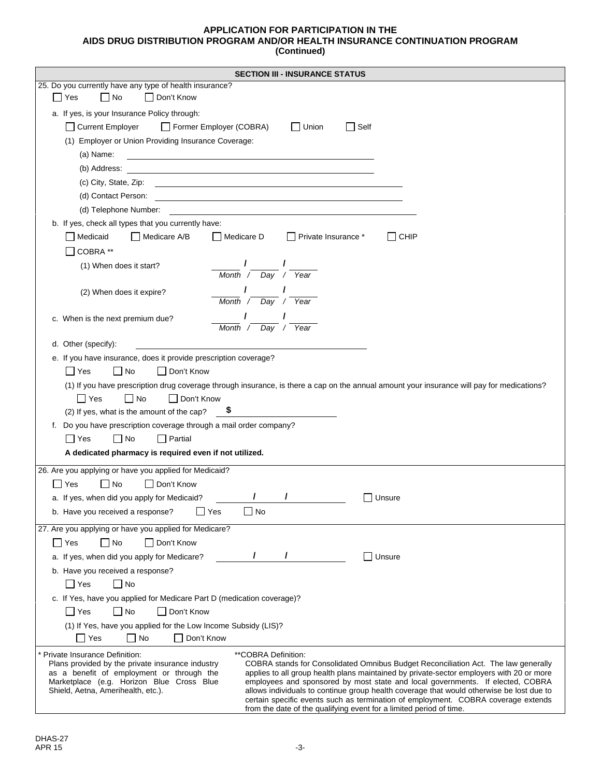| <b>SECTION III - INSURANCE STATUS</b>                                                                                                                                                                                                                                                                                                          |                                                                                          |  |
|------------------------------------------------------------------------------------------------------------------------------------------------------------------------------------------------------------------------------------------------------------------------------------------------------------------------------------------------|------------------------------------------------------------------------------------------|--|
| 25. Do you currently have any type of health insurance?                                                                                                                                                                                                                                                                                        |                                                                                          |  |
| $\Box$ Yes<br>$\Box$ No<br>Don't Know                                                                                                                                                                                                                                                                                                          |                                                                                          |  |
| a. If yes, is your Insurance Policy through:                                                                                                                                                                                                                                                                                                   |                                                                                          |  |
| Former Employer (COBRA)<br>$\Box$ Self<br>$\Box$ Current Employer<br>$\Box$ Union                                                                                                                                                                                                                                                              |                                                                                          |  |
| (1) Employer or Union Providing Insurance Coverage:                                                                                                                                                                                                                                                                                            |                                                                                          |  |
| (a) Name:<br><u> 1989 - Johann Stoff, deutscher Stoffen und der Stoffen und der Stoffen und der Stoffen und der Stoffen und der</u>                                                                                                                                                                                                            |                                                                                          |  |
| (b) Address:                                                                                                                                                                                                                                                                                                                                   |                                                                                          |  |
|                                                                                                                                                                                                                                                                                                                                                |                                                                                          |  |
| (d) Contact Person:                                                                                                                                                                                                                                                                                                                            |                                                                                          |  |
| (d) Telephone Number:                                                                                                                                                                                                                                                                                                                          |                                                                                          |  |
| b. If yes, check all types that you currently have:                                                                                                                                                                                                                                                                                            |                                                                                          |  |
| Medicare A/B<br>Medicare D<br>Private Insurance *<br>Medicaid                                                                                                                                                                                                                                                                                  | $\Box$ CHIP                                                                              |  |
| COBRA **                                                                                                                                                                                                                                                                                                                                       |                                                                                          |  |
| $\frac{1}{2}$ $\frac{1}{2}$ $\frac{1}{2}$ $\frac{1}{2}$ $\frac{1}{2}$ $\frac{1}{2}$ $\frac{1}{2}$ $\frac{1}{2}$ $\frac{1}{2}$ $\frac{1}{2}$ $\frac{1}{2}$ $\frac{1}{2}$ $\frac{1}{2}$ $\frac{1}{2}$ $\frac{1}{2}$ $\frac{1}{2}$ $\frac{1}{2}$ $\frac{1}{2}$ $\frac{1}{2}$ $\frac{1}{2}$ $\frac{1}{2}$ $\frac{1}{2}$<br>(1) When does it start? |                                                                                          |  |
| Month / Day / Year                                                                                                                                                                                                                                                                                                                             |                                                                                          |  |
| (2) When does it expire?                                                                                                                                                                                                                                                                                                                       |                                                                                          |  |
| Month / Day / Year                                                                                                                                                                                                                                                                                                                             |                                                                                          |  |
| c. When is the next premium due?                                                                                                                                                                                                                                                                                                               |                                                                                          |  |
| Month / Day / Year                                                                                                                                                                                                                                                                                                                             |                                                                                          |  |
| d. Other (specify):                                                                                                                                                                                                                                                                                                                            |                                                                                          |  |
| e. If you have insurance, does it provide prescription coverage?                                                                                                                                                                                                                                                                               |                                                                                          |  |
| l l Yes<br>$\Box$ No<br>Don't Know                                                                                                                                                                                                                                                                                                             |                                                                                          |  |
| (1) If you have prescription drug coverage through insurance, is there a cap on the annual amount your insurance will pay for medications?                                                                                                                                                                                                     |                                                                                          |  |
| l I Yes<br>$\Box$ No<br>  Don't Know                                                                                                                                                                                                                                                                                                           |                                                                                          |  |
| (2) If yes, what is the amount of the cap?<br>\$                                                                                                                                                                                                                                                                                               |                                                                                          |  |
| f. Do you have prescription coverage through a mail order company?                                                                                                                                                                                                                                                                             |                                                                                          |  |
| $\Box$ Yes<br>$\Box$ No<br>  Partial                                                                                                                                                                                                                                                                                                           |                                                                                          |  |
| A dedicated pharmacy is required even if not utilized.                                                                                                                                                                                                                                                                                         |                                                                                          |  |
| 26. Are you applying or have you applied for Medicaid?                                                                                                                                                                                                                                                                                         |                                                                                          |  |
| l Yes<br><b>No</b><br>Don't Know                                                                                                                                                                                                                                                                                                               |                                                                                          |  |
| $\frac{1}{\sqrt{2}}$<br>$\prime$<br>a. If yes, when did you apply for Medicaid?                                                                                                                                                                                                                                                                | Unsure                                                                                   |  |
| $\Box$ No<br>$\Box$ Yes<br>b. Have you received a response?                                                                                                                                                                                                                                                                                    |                                                                                          |  |
| 27. Are you applying or have you applied for Medicare?                                                                                                                                                                                                                                                                                         |                                                                                          |  |
| Yes<br>Don't Know<br>No                                                                                                                                                                                                                                                                                                                        |                                                                                          |  |
| $\prime$<br>L<br>$\Box$ Unsure<br>a. If yes, when did you apply for Medicare?                                                                                                                                                                                                                                                                  |                                                                                          |  |
| b. Have you received a response?                                                                                                                                                                                                                                                                                                               |                                                                                          |  |
| $\square$ Yes<br>$\Box$ No                                                                                                                                                                                                                                                                                                                     |                                                                                          |  |
| c. If Yes, have you applied for Medicare Part D (medication coverage)?                                                                                                                                                                                                                                                                         |                                                                                          |  |
| $\Box$ Yes<br>$\Box$ No<br>Don't Know                                                                                                                                                                                                                                                                                                          |                                                                                          |  |
| (1) If Yes, have you applied for the Low Income Subsidy (LIS)?                                                                                                                                                                                                                                                                                 |                                                                                          |  |
| ΠYes<br>$\Box$ No<br>$\Box$ Don't Know                                                                                                                                                                                                                                                                                                         |                                                                                          |  |
| * Private Insurance Definition:<br>**COBRA Definition:                                                                                                                                                                                                                                                                                         |                                                                                          |  |
| Plans provided by the private insurance industry                                                                                                                                                                                                                                                                                               | COBRA stands for Consolidated Omnibus Budget Reconciliation Act. The law generally       |  |
| applies to all group health plans maintained by private-sector employers with 20 or more<br>as a benefit of employment or through the<br>Marketplace (e.g. Horizon Blue Cross Blue<br>employees and sponsored by most state and local governments. If elected, COBRA                                                                           |                                                                                          |  |
| Shield, Aetna, Amerihealth, etc.).                                                                                                                                                                                                                                                                                                             | allows individuals to continue group health coverage that would otherwise be lost due to |  |
| from the date of the qualifying event for a limited period of time.                                                                                                                                                                                                                                                                            | certain specific events such as termination of employment. COBRA coverage extends        |  |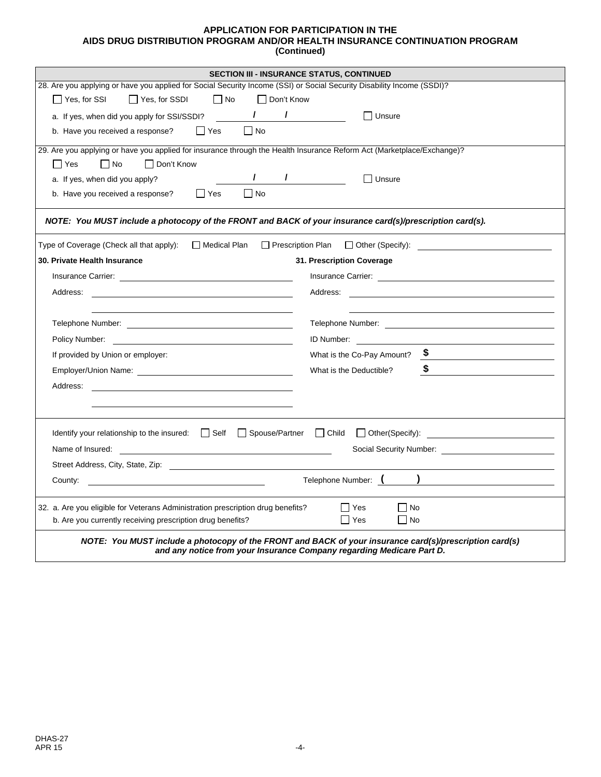|                                                                                                                                                                                                                                      | <b>SECTION III - INSURANCE STATUS, CONTINUED</b> |  |
|--------------------------------------------------------------------------------------------------------------------------------------------------------------------------------------------------------------------------------------|--------------------------------------------------|--|
| 28. Are you applying or have you applied for Social Security Income (SSI) or Social Security Disability Income (SSDI)?                                                                                                               |                                                  |  |
| □ Yes, for SSDI<br>$\Box$ No<br>□ Don't Know<br>$\Box$ Yes, for SSI                                                                                                                                                                  |                                                  |  |
| a. If yes, when did you apply for SSI/SSDI? $\sqrt{1}$                                                                                                                                                                               | $\Box$ Unsure                                    |  |
| $\Box$ Yes<br>$\Box$ No<br>b. Have you received a response?                                                                                                                                                                          |                                                  |  |
| 29. Are you applying or have you applied for insurance through the Health Insurance Reform Act (Marketplace/Exchange)?                                                                                                               |                                                  |  |
| II Yes<br>  No<br>  Don't Know                                                                                                                                                                                                       |                                                  |  |
| $\mathcal{L}$<br>a. If yes, when did you apply?                                                                                                                                                                                      | $\mathbf{I}$ and $\mathbf{I}$<br>  Unsure        |  |
| b. Have you received a response?<br>  Yes<br>l No                                                                                                                                                                                    |                                                  |  |
| NOTE: You MUST include a photocopy of the FRONT and BACK of your insurance card(s)/prescription card(s).                                                                                                                             |                                                  |  |
| Type of Coverage (Check all that apply):<br>$\Box$ Medical Plan                                                                                                                                                                      | □ Prescription Plan                              |  |
| 30. Private Health Insurance                                                                                                                                                                                                         | 31. Prescription Coverage                        |  |
|                                                                                                                                                                                                                                      |                                                  |  |
| Address:                                                                                                                                                                                                                             | Address:                                         |  |
|                                                                                                                                                                                                                                      |                                                  |  |
|                                                                                                                                                                                                                                      |                                                  |  |
| Policy Number: <u>December 2008</u>                                                                                                                                                                                                  | ID Number: The Number                            |  |
| If provided by Union or employer:                                                                                                                                                                                                    | $\sim$ $\sim$<br>What is the Co-Pay Amount?      |  |
|                                                                                                                                                                                                                                      | \$<br>What is the Deductible?                    |  |
| Address:                                                                                                                                                                                                                             |                                                  |  |
|                                                                                                                                                                                                                                      |                                                  |  |
|                                                                                                                                                                                                                                      |                                                  |  |
| Identify your relationship to the insured:<br><br>□ Self D Spouse/Partner D Child D Other(Specify): 2002年10月20日 2012年11月20日 2012年12月21日 2012年12月21日 2012年12月21                                                                       |                                                  |  |
| Name of Insured: <u>contract and the contract of the contract of the contract of the contract of the contract of the contract of the contract of the contract of the contract of the contract of the contract of the contract of</u> |                                                  |  |
|                                                                                                                                                                                                                                      |                                                  |  |
| County:<br><u> 1989 - Johann Harry Harry Harry Harry Harry Harry Harry Harry Harry Harry Harry Harry Harry Harry Harry Harry</u>                                                                                                     | Telephone Number: ( )                            |  |
| 32. a. Are you eligible for Veterans Administration prescription drug benefits?<br>b. Are you currently receiving prescription drug benefits?                                                                                        | l IYes<br>    No<br>l INo<br>l IYes              |  |
|                                                                                                                                                                                                                                      |                                                  |  |
| NOTE: You MUST include a photocopy of the FRONT and BACK of your insurance card(s)/prescription card(s)<br>and any notice from your Insurance Company regarding Medicare Part D.                                                     |                                                  |  |